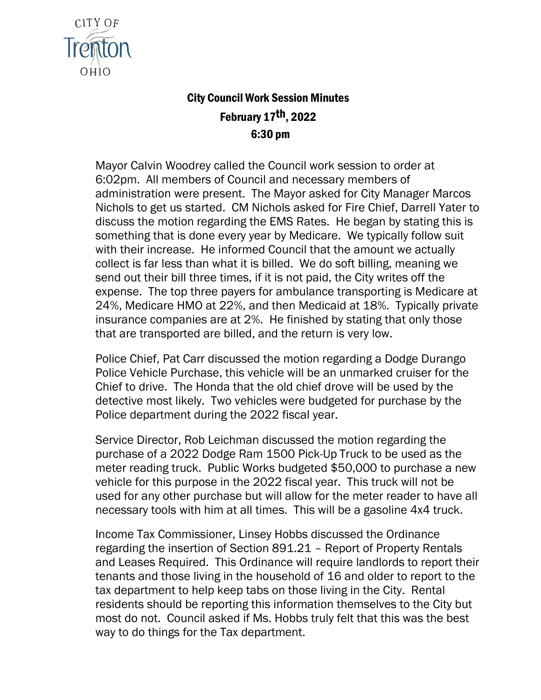

## City Council Work Session Minutes February 17th, 2022 6:30 pm

Mayor Calvin Woodrey called the Council work session to order at 6:02pm. All members of Council and necessary members of administration were present. The Mayor asked for City Manager Marcos Nichols to get us started. CM Nichols asked for Fire Chief, Darrell Yater to discuss the motion regarding the EMS Rates. He began by stating this is something that is done every year by Medicare. We typically follow suit with their increase. He informed Council that the amount we actually collect is far less than what it is billed. We do soft billing, meaning we send out their bill three times, if it is not paid, the City writes off the expense. The top three payers for ambulance transporting is Medicare at 24%, Medicare HMO at 22%, and then Medicaid at 18%. Typically private insurance companies are at 2%. He finished by stating that only those that are transported are billed, and the return is very low.

Police Chief, Pat Carr discussed the motion regarding a Dodge Durango Police Vehicle Purchase, this vehicle will be an unmarked cruiser for the Chief to drive. The Honda that the old chief drove will be used by the detective most likely. Two vehicles were budgeted for purchase by the Police department during the 2022 fiscal year.

Service Director, Rob Leichman discussed the motion regarding the purchase of a 2022 Dodge Ram 1500 Pick-Up Truck to be used as the meter reading truck. Public Works budgeted \$50,000 to purchase a new vehicle for this purpose in the 2022 fiscal year. This truck will not be used for any other purchase but will allow for the meter reader to have all necessary tools with him at all times. This will be a gasoline 4x4 truck.

Income Tax Commissioner, Linsey Hobbs discussed the Ordinance regarding the insertion of Section 891.21 – Report of Property Rentals and Leases Required. This Ordinance will require landlords to report their tenants and those living in the household of 16 and older to report to the tax department to help keep tabs on those living in the City. Rental residents should be reporting this information themselves to the City but most do not. Council asked if Ms. Hobbs truly felt that this was the best way to do things for the Tax department.